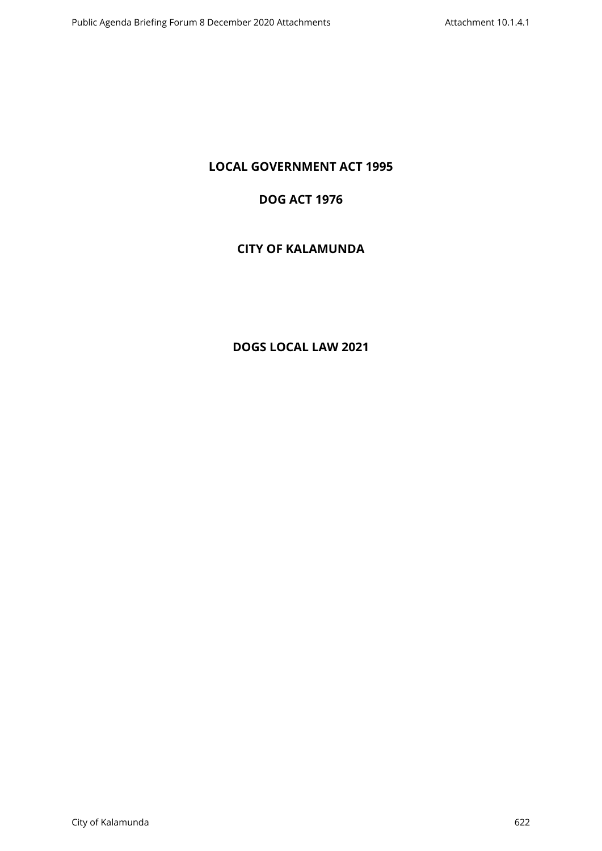# **LOCAL GOVERNMENT ACT 1995**

## **DOG ACT 1976**

# **CITY OF KALAMUNDA**

# **DOGS LOCAL LAW 2021**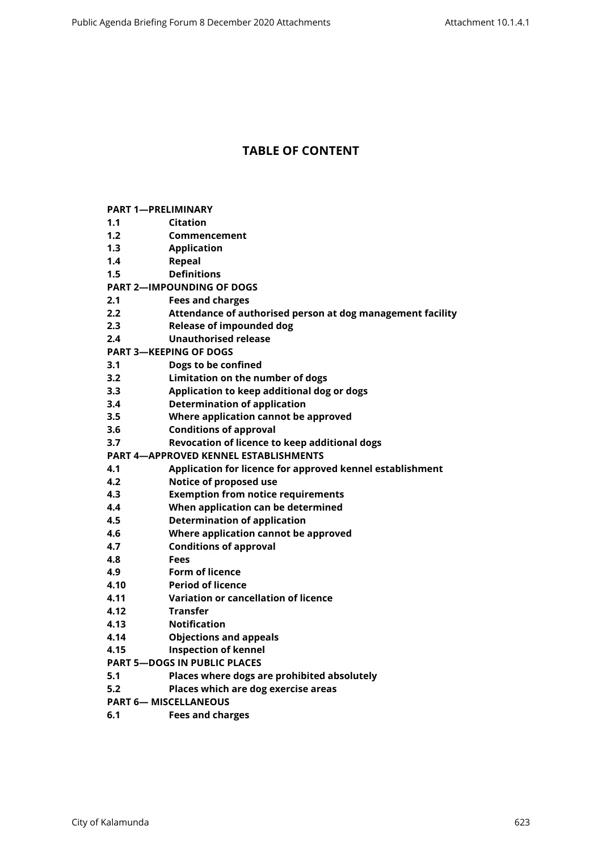## **TABLE OF CONTENT**

- **[1.1 Citation](#page-3-1)**
- **[1.2 Commencement](#page-3-2)**
- **[1.3 Application](#page-3-3)**
- **[1.4 Repeal](#page-3-4)**
- **[1.5 Definitions](#page-3-5)**
- **[PART 2—IMPOUNDING OF DOGS](#page-5-0)**
- **[2.1 Fees and charges](#page-5-1)**
- **[2.2 Attendance of authorised person at dog management facility](#page-5-2)**
- **[2.3 Release of impounded dog](#page-5-3)**
- **[2.4 Unauthorised release](#page-5-4)**
- **[PART 3—KEEPING OF DOGS](#page-6-0)**
- **[3.1 Dogs to be confined](#page-6-1)**
- **[3.2 Limitation on the number of dogs](#page-6-2)**
- **[3.3 Application to keep additional dog or dogs](#page-7-0)**
- **[3.4 Determination of application](#page-7-1)**
- **[3.5 Where application cannot be approved](#page-8-0)**
- **[3.6 Conditions of approval](#page-8-1)**
- **[3.7 Revocation of licence to keep additional dogs](#page-8-2)**
- **[PART 4—APPROVED KENNEL ESTABLISHMENTS](#page-9-0)**
- **[4.1 Application for licence for approved kennel establishment](#page-9-1)**
- **[4.2 Notice of proposed use](#page-9-2)**
- **[4.3 Exemption from notice requirements](#page-9-3)**
- **[4.4 When application can be determined](#page-10-0)**
- **[4.5 Determination of application](#page-10-1)**
- **[4.6 Where application cannot be approved](#page-10-2)**
- **[4.7 Conditions of approval](#page-11-0)**
- **[4.8 Fees](#page-11-1)**
- **[4.9 Form of licence](#page-11-2)**
- **[4.10 Period of licence](#page-11-3)**
- **[4.11 Variation or cancellation of licence](#page-12-0)**
- **[4.12 Transfer](#page-12-1)**
- **[4.13 Notification](#page-13-0)**
- **[4.14 Objections and appeals](#page-13-1)**
- **[4.15 Inspection of kennel](#page-13-2)**
- **[PART 5—DOGS IN PUBLIC PLACES](#page-13-3)**
- **[5.1 Places where dogs are prohibited absolutely](#page-13-4)**
- **[5.2 Places which are dog exercise areas](#page-14-0)**
- **[PART 6— MISCELLANEOUS](#page-14-1)**
- **[6.1 Fees and charges](#page-14-2)**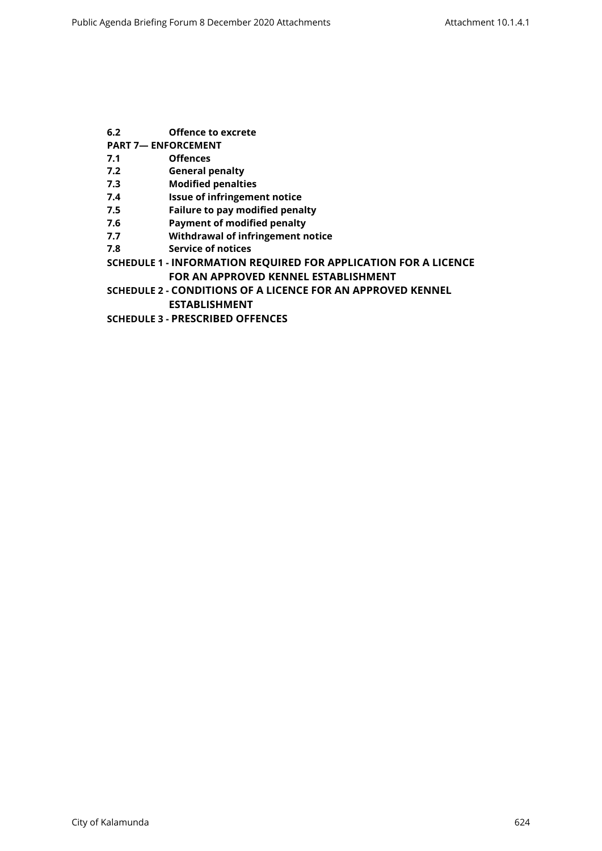- **[6.2 Offence to excrete](#page-14-3)**
- **[PART 7— ENFORCEMENT](#page-14-4)**
- **[7.1 Offences](#page-14-5)**
- **[7.2 General penalty](#page-14-6)**
- **[7.3 Modified penalties](#page-15-0)**
- **[7.4 Issue of infringement notice](#page-15-1)**
- **[7.5 Failure to pay modified penalty](#page-15-2)**
- **[7.6 Payment of modified penalty](#page-15-3)**
- **[7.7 Withdrawal of infringement notice](#page-15-4)**
- **[7.8 Service of notices](#page-16-0)**
- **SCHEDULE 1 [INFORMATION REQUIRED FOR APPLICATION FOR A LICENCE](#page-17-0)  [FOR AN APPROVED KENNEL ESTABLISHMENT](#page-17-0)**
- **SCHEDULE 2 [CONDITIONS OF A LICENCE FOR AN APPROVED KENNEL](#page-19-0)  [ESTABLISHMENT](#page-19-0)**
- **SCHEDULE 3 [PRESCRIBED OFFENCES](#page-22-0)**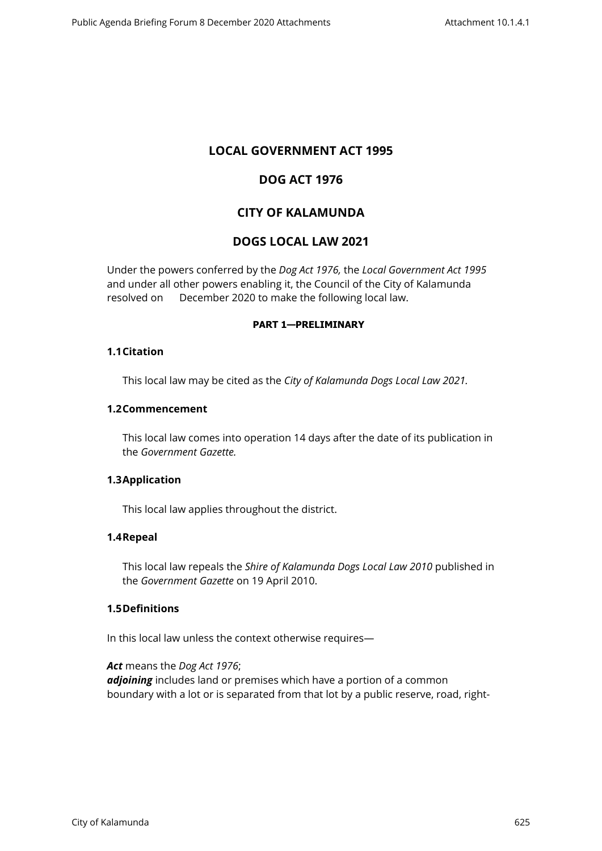## **LOCAL GOVERNMENT ACT 1995**

## **DOG ACT 1976**

## **CITY OF KALAMUNDA**

## **DOGS LOCAL LAW 2021**

Under the powers conferred by the *Dog Act 1976,* the *Local Government Act 1995*  and under all other powers enabling it, the Council of the City of Kalamunda resolved on December 2020 to make the following local law.

#### <span id="page-3-0"></span>**PART 1—PRELIMINARY**

### <span id="page-3-1"></span>**1.1Citation**

This local law may be cited as the *City of Kalamunda Dogs Local Law 2021.*

#### <span id="page-3-2"></span>**1.2Commencement**

This local law comes into operation 14 days after the date of its publication in the *Government Gazette.*

### <span id="page-3-3"></span>**1.3Application**

This local law applies throughout the district.

### <span id="page-3-4"></span>**1.4Repeal**

This local law repeals the *Shire of Kalamunda Dogs Local Law 2010* published in the *Government Gazette* on 19 April 2010.

### **1.5Definitions**

<span id="page-3-5"></span>In this local law unless the context otherwise requires—

*Act* means the *Dog Act 1976*; *adjoining* includes land or premises which have a portion of a common boundary with a lot or is separated from that lot by a public reserve, road, right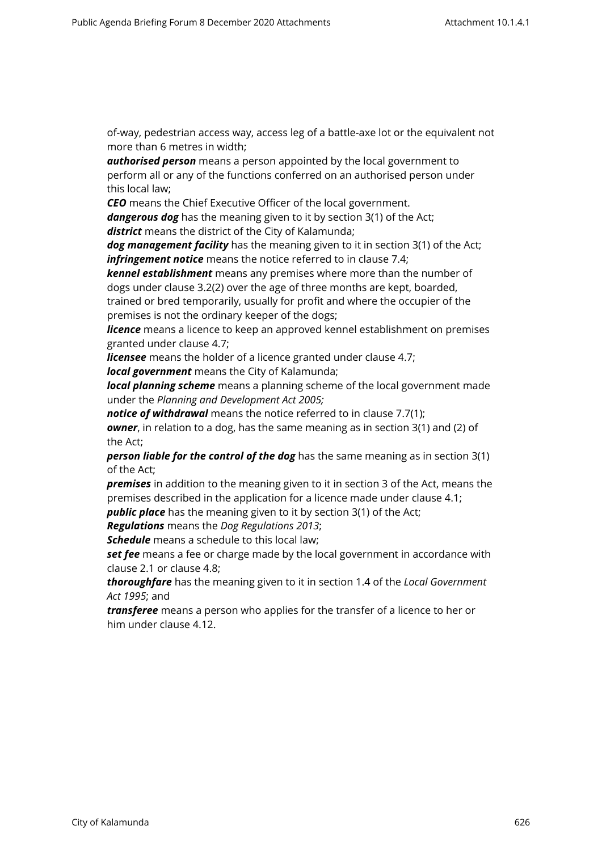of-way, pedestrian access way, access leg of a battle-axe lot or the equivalent not more than 6 metres in width;

*authorised person* means a person appointed by the local government to perform all or any of the functions conferred on an authorised person under this local law;

*CEO* means the Chief Executive Officer of the local government.

*dangerous dog* has the meaning given to it by section 3(1) of the Act; *district* means the district of the City of Kalamunda;

*dog management facility* has the meaning given to it in section 3(1) of the Act; *infringement notice* means the notice referred to in clause 7.4;

*kennel establishment* means any premises where more than the number of dogs under clause 3.2(2) over the age of three months are kept, boarded, trained or bred temporarily, usually for profit and where the occupier of the

premises is not the ordinary keeper of the dogs;

*licence* means a licence to keep an approved kennel establishment on premises granted under clause 4.7;

*licensee* means the holder of a licence granted under clause 4.7;

*local government* means the City of Kalamunda;

*local planning scheme* means a planning scheme of the local government made under the *Planning and Development Act 2005;*

*notice of withdrawal* means the notice referred to in clause 7.7(1); *owner*, in relation to a dog, has the same meaning as in section 3(1) and (2) of the Act;

*person liable for the control of the dog* has the same meaning as in section 3(1) of the Act;

*premises* in addition to the meaning given to it in section 3 of the Act, means the premises described in the application for a licence made under clause 4.1;

**public place** has the meaning given to it by section 3(1) of the Act;

*Regulations* means the *Dog Regulations 2013*;

*Schedule* means a schedule to this local law;

**set fee** means a fee or charge made by the local government in accordance with clause 2.1 or clause 4.8;

*thoroughfare* has the meaning given to it in section 1.4 of the *Local Government Act 1995*; and

*transferee* means a person who applies for the transfer of a licence to her or him under clause 4.12.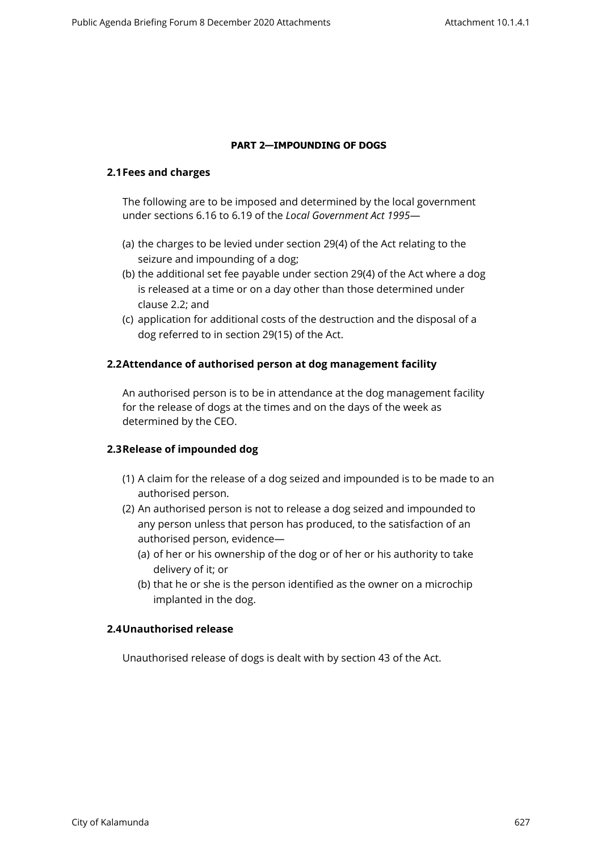#### <span id="page-5-0"></span>**PART 2—IMPOUNDING OF DOGS**

#### <span id="page-5-1"></span>**2.1Fees and charges**

The following are to be imposed and determined by the local government under sections 6.16 to 6.19 of the *Local Government Act 1995*—

- (a) the charges to be levied under section 29(4) of the Act relating to the seizure and impounding of a dog;
- (b) the additional set fee payable under section 29(4) of the Act where a dog is released at a time or on a day other than those determined under clause 2.2; and
- (c) application for additional costs of the destruction and the disposal of a dog referred to in section 29(15) of the Act.

### <span id="page-5-2"></span>**2.2Attendance of authorised person at dog management facility**

An authorised person is to be in attendance at the dog management facility for the release of dogs at the times and on the days of the week as determined by the CEO.

### <span id="page-5-3"></span>**2.3Release of impounded dog**

- (1) A claim for the release of a dog seized and impounded is to be made to an authorised person.
- (2) An authorised person is not to release a dog seized and impounded to any person unless that person has produced, to the satisfaction of an authorised person, evidence—
	- (a) of her or his ownership of the dog or of her or his authority to take delivery of it; or
	- (b) that he or she is the person identified as the owner on a microchip implanted in the dog.

### <span id="page-5-4"></span>**2.4Unauthorised release**

Unauthorised release of dogs is dealt with by section 43 of the Act.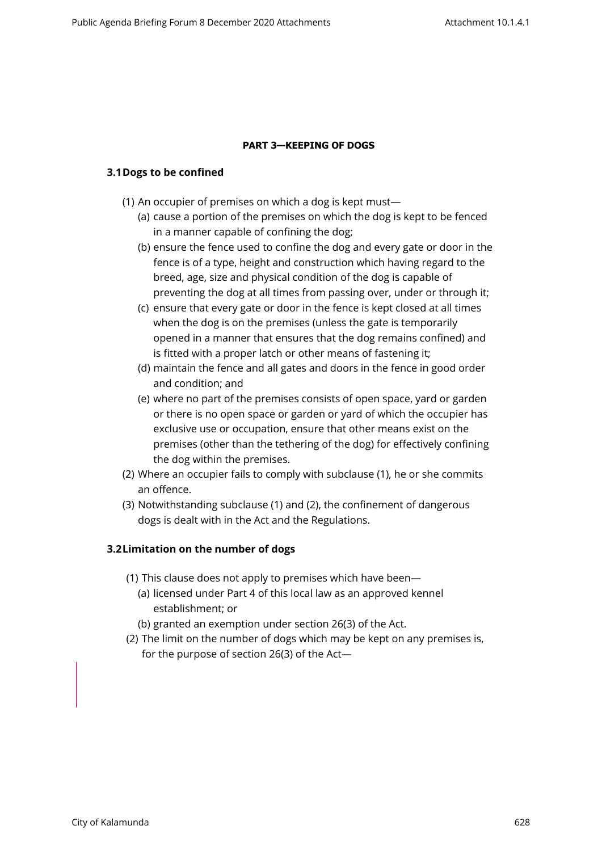#### <span id="page-6-0"></span>**PART 3—KEEPING OF DOGS**

#### <span id="page-6-1"></span>**3.1Dogs to be confined**

- (1) An occupier of premises on which a dog is kept must—
	- (a) cause a portion of the premises on which the dog is kept to be fenced in a manner capable of confining the dog;
	- (b) ensure the fence used to confine the dog and every gate or door in the fence is of a type, height and construction which having regard to the breed, age, size and physical condition of the dog is capable of preventing the dog at all times from passing over, under or through it;
	- (c) ensure that every gate or door in the fence is kept closed at all times when the dog is on the premises (unless the gate is temporarily opened in a manner that ensures that the dog remains confined) and is fitted with a proper latch or other means of fastening it;
	- (d) maintain the fence and all gates and doors in the fence in good order and condition; and
	- (e) where no part of the premises consists of open space, yard or garden or there is no open space or garden or yard of which the occupier has exclusive use or occupation, ensure that other means exist on the premises (other than the tethering of the dog) for effectively confining the dog within the premises.
- (2) Where an occupier fails to comply with subclause (1), he or she commits an offence.
- (3) Notwithstanding subclause (1) and (2), the confinement of dangerous dogs is dealt with in the Act and the Regulations.

### <span id="page-6-2"></span>**3.2Limitation on the number of dogs**

- (1) This clause does not apply to premises which have been—
	- (a) licensed under Part 4 of this local law as an approved kennel establishment; or
	- (b) granted an exemption under section 26(3) of the Act.
- (2) The limit on the number of dogs which may be kept on any premises is, for the purpose of section 26(3) of the Act—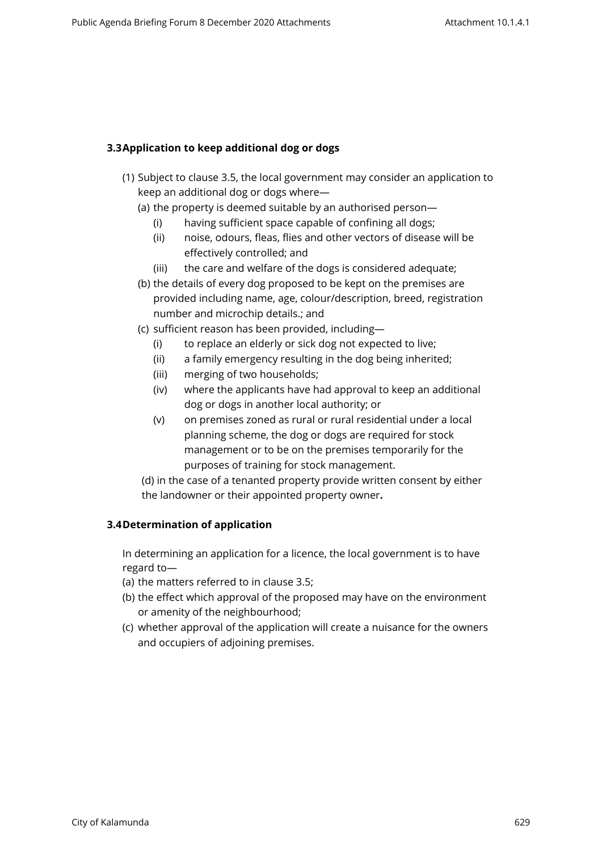## <span id="page-7-0"></span>**3.3Application to keep additional dog or dogs**

- (1) Subject to clause 3.5, the local government may consider an application to keep an additional dog or dogs where—
	- (a) the property is deemed suitable by an authorised person—
		- (i) having sufficient space capable of confining all dogs;
		- (ii) noise, odours, fleas, flies and other vectors of disease will be effectively controlled; and
		- (iii) the care and welfare of the dogs is considered adequate;
	- (b) the details of every dog proposed to be kept on the premises are provided including name, age, colour/description, breed, registration number and microchip details.; and
	- (c) sufficient reason has been provided, including—
		- (i) to replace an elderly or sick dog not expected to live;
		- (ii) a family emergency resulting in the dog being inherited;
		- (iii) merging of two households;
		- (iv) where the applicants have had approval to keep an additional dog or dogs in another local authority; or
		- (v) on premises zoned as rural or rural residential under a local planning scheme, the dog or dogs are required for stock management or to be on the premises temporarily for the purposes of training for stock management.

(d) in the case of a tenanted property provide written consent by either the landowner or their appointed property owner**.**

### <span id="page-7-1"></span>**3.4Determination of application**

In determining an application for a licence, the local government is to have regard to—

- (a) the matters referred to in clause 3.5;
- (b) the effect which approval of the proposed may have on the environment or amenity of the neighbourhood;
- (c) whether approval of the application will create a nuisance for the owners and occupiers of adjoining premises.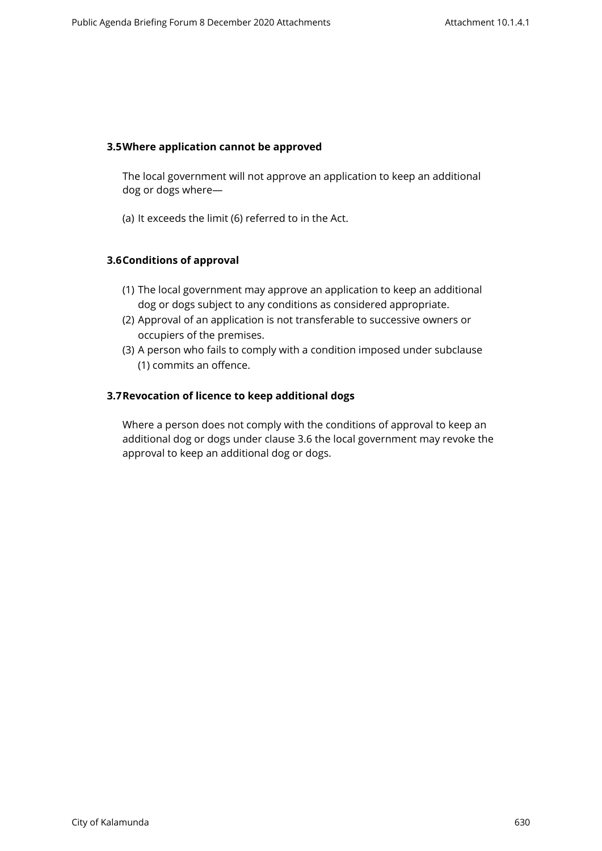#### <span id="page-8-0"></span>**3.5Where application cannot be approved**

The local government will not approve an application to keep an additional dog or dogs where—

(a) It exceeds the limit (6) referred to in the Act.

### <span id="page-8-1"></span>**3.6Conditions of approval**

- (1) The local government may approve an application to keep an additional dog or dogs subject to any conditions as considered appropriate.
- (2) Approval of an application is not transferable to successive owners or occupiers of the premises.
- (3) A person who fails to comply with a condition imposed under subclause (1) commits an offence.

### <span id="page-8-2"></span>**3.7Revocation of licence to keep additional dogs**

Where a person does not comply with the conditions of approval to keep an additional dog or dogs under clause 3.6 the local government may revoke the approval to keep an additional dog or dogs.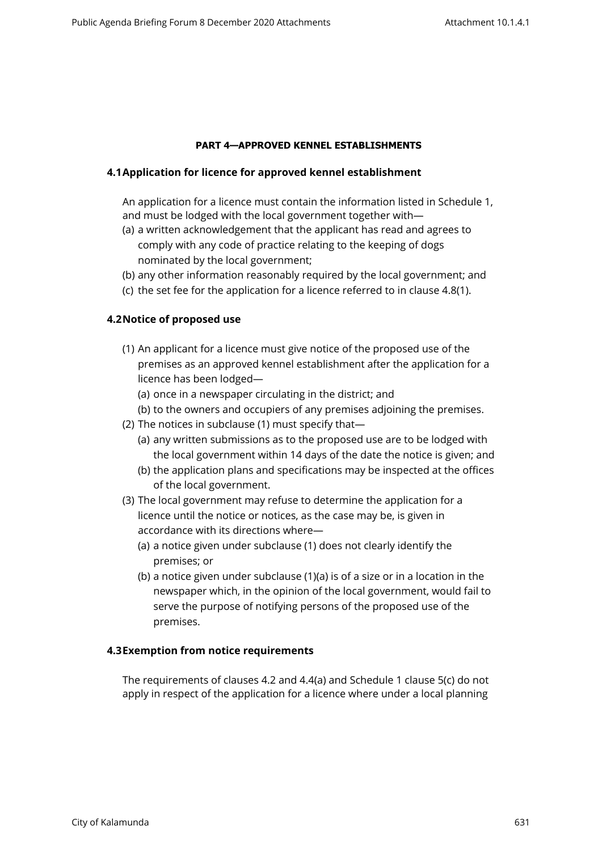#### <span id="page-9-0"></span>**PART 4—APPROVED KENNEL ESTABLISHMENTS**

#### <span id="page-9-1"></span>**4.1Application for licence for approved kennel establishment**

An application for a licence must contain the information listed in Schedule 1, and must be lodged with the local government together with—

- (a) a written acknowledgement that the applicant has read and agrees to comply with any code of practice relating to the keeping of dogs nominated by the local government;
- (b) any other information reasonably required by the local government; and
- (c) the set fee for the application for a licence referred to in clause 4.8(1).

#### <span id="page-9-2"></span>**4.2Notice of proposed use**

- (1) An applicant for a licence must give notice of the proposed use of the premises as an approved kennel establishment after the application for a licence has been lodged—
	- (a) once in a newspaper circulating in the district; and
	- (b) to the owners and occupiers of any premises adjoining the premises.
- (2) The notices in subclause (1) must specify that—
	- (a) any written submissions as to the proposed use are to be lodged with the local government within 14 days of the date the notice is given; and
	- (b) the application plans and specifications may be inspected at the offices of the local government.
- (3) The local government may refuse to determine the application for a licence until the notice or notices, as the case may be, is given in accordance with its directions where—
	- (a) a notice given under subclause (1) does not clearly identify the premises; or
	- (b) a notice given under subclause (1)(a) is of a size or in a location in the newspaper which, in the opinion of the local government, would fail to serve the purpose of notifying persons of the proposed use of the premises.

#### <span id="page-9-3"></span>**4.3Exemption from notice requirements**

The requirements of clauses 4.2 and 4.4(a) and Schedule 1 clause 5(c) do not apply in respect of the application for a licence where under a local planning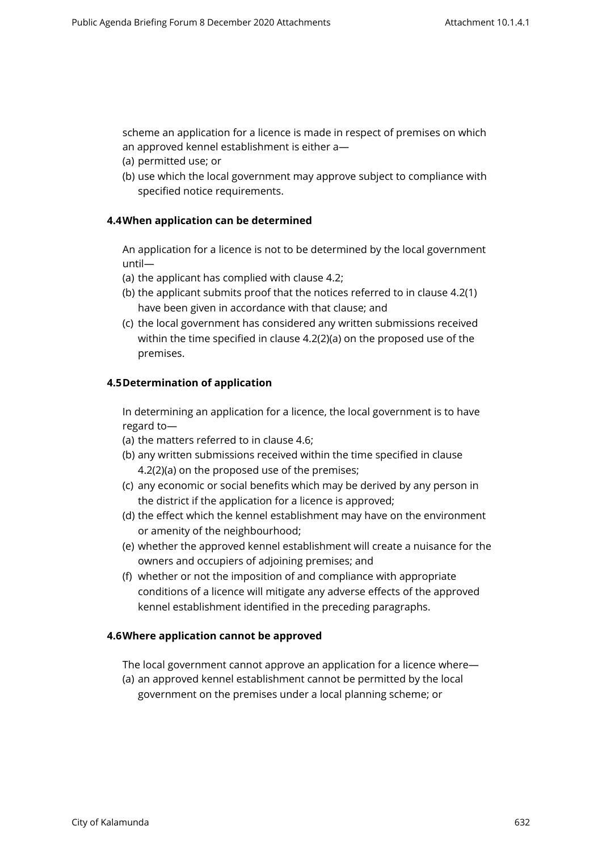scheme an application for a licence is made in respect of premises on which an approved kennel establishment is either a—

- (a) permitted use; or
- <span id="page-10-0"></span>(b) use which the local government may approve subject to compliance with specified notice requirements.

#### **4.4When application can be determined**

An application for a licence is not to be determined by the local government until—

- (a) the applicant has complied with clause 4.2;
- (b) the applicant submits proof that the notices referred to in clause 4.2(1) have been given in accordance with that clause; and
- (c) the local government has considered any written submissions received within the time specified in clause 4.2(2)(a) on the proposed use of the premises.

#### <span id="page-10-1"></span>**4.5Determination of application**

In determining an application for a licence, the local government is to have regard to—

- (a) the matters referred to in clause 4.6;
- (b) any written submissions received within the time specified in clause 4.2(2)(a) on the proposed use of the premises;
- (c) any economic or social benefits which may be derived by any person in the district if the application for a licence is approved;
- (d) the effect which the kennel establishment may have on the environment or amenity of the neighbourhood;
- (e) whether the approved kennel establishment will create a nuisance for the owners and occupiers of adjoining premises; and
- (f) whether or not the imposition of and compliance with appropriate conditions of a licence will mitigate any adverse effects of the approved kennel establishment identified in the preceding paragraphs.

#### <span id="page-10-2"></span>**4.6Where application cannot be approved**

The local government cannot approve an application for a licence where—

(a) an approved kennel establishment cannot be permitted by the local government on the premises under a local planning scheme; or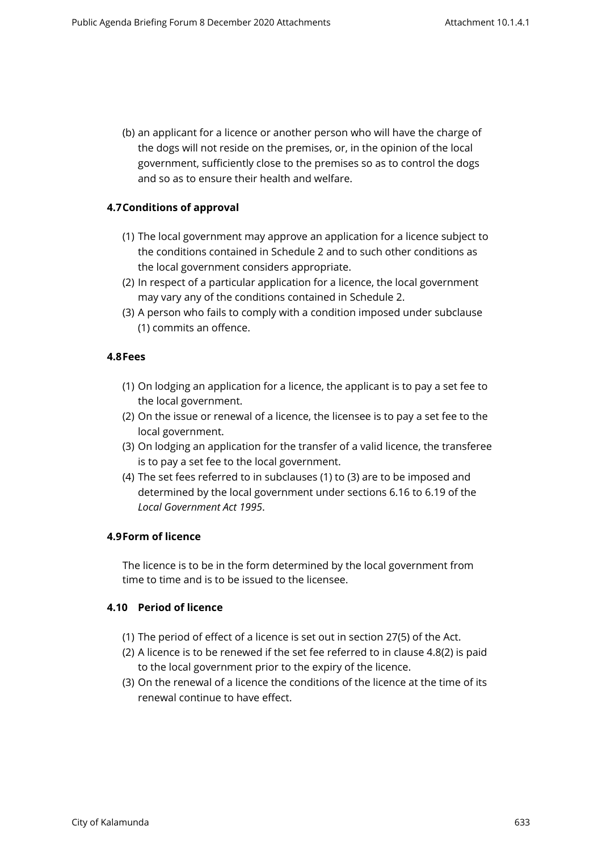(b) an applicant for a licence or another person who will have the charge of the dogs will not reside on the premises, or, in the opinion of the local government, sufficiently close to the premises so as to control the dogs and so as to ensure their health and welfare.

### <span id="page-11-0"></span>**4.7Conditions of approval**

- (1) The local government may approve an application for a licence subject to the conditions contained in Schedule 2 and to such other conditions as the local government considers appropriate.
- (2) In respect of a particular application for a licence, the local government may vary any of the conditions contained in Schedule 2.
- (3) A person who fails to comply with a condition imposed under subclause (1) commits an offence.

### <span id="page-11-1"></span>**4.8Fees**

- (1) On lodging an application for a licence, the applicant is to pay a set fee to the local government.
- (2) On the issue or renewal of a licence, the licensee is to pay a set fee to the local government.
- (3) On lodging an application for the transfer of a valid licence, the transferee is to pay a set fee to the local government.
- (4) The set fees referred to in subclauses (1) to (3) are to be imposed and determined by the local government under sections 6.16 to 6.19 of the *Local Government Act 1995*.

### <span id="page-11-2"></span>**4.9Form of licence**

The licence is to be in the form determined by the local government from time to time and is to be issued to the licensee.

### <span id="page-11-3"></span>**4.10 Period of licence**

- (1) The period of effect of a licence is set out in section 27(5) of the Act.
- (2) A licence is to be renewed if the set fee referred to in clause 4.8(2) is paid to the local government prior to the expiry of the licence.
- (3) On the renewal of a licence the conditions of the licence at the time of its renewal continue to have effect.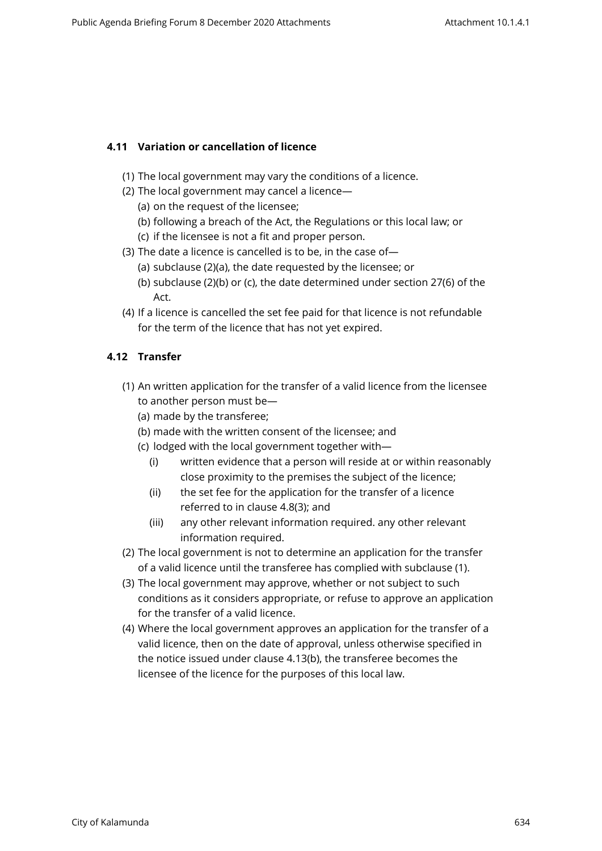## <span id="page-12-0"></span>**4.11 Variation or cancellation of licence**

- (1) The local government may vary the conditions of a licence.
- (2) The local government may cancel a licence—
	- (a) on the request of the licensee;
	- (b) following a breach of the Act, the Regulations or this local law; or
	- (c) if the licensee is not a fit and proper person.
- (3) The date a licence is cancelled is to be, in the case of—
	- (a) subclause (2)(a), the date requested by the licensee; or
	- (b) subclause (2)(b) or (c), the date determined under section 27(6) of the Act.
- (4) If a licence is cancelled the set fee paid for that licence is not refundable for the term of the licence that has not yet expired.

## <span id="page-12-1"></span>**4.12 Transfer**

- (1) An written application for the transfer of a valid licence from the licensee to another person must be—
	- (a) made by the transferee;
	- (b) made with the written consent of the licensee; and
	- (c) lodged with the local government together with—
		- (i) written evidence that a person will reside at or within reasonably close proximity to the premises the subject of the licence;
		- (ii) the set fee for the application for the transfer of a licence referred to in clause 4.8(3); and
		- (iii) any other relevant information required. any other relevant information required.
- (2) The local government is not to determine an application for the transfer of a valid licence until the transferee has complied with subclause (1).
- (3) The local government may approve, whether or not subject to such conditions as it considers appropriate, or refuse to approve an application for the transfer of a valid licence.
- (4) Where the local government approves an application for the transfer of a valid licence, then on the date of approval, unless otherwise specified in the notice issued under clause 4.13(b), the transferee becomes the licensee of the licence for the purposes of this local law.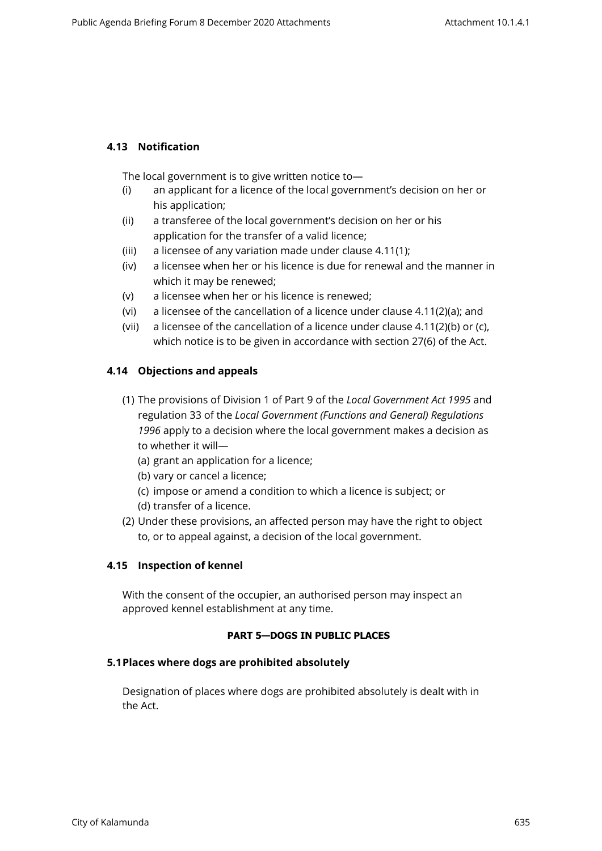## <span id="page-13-0"></span>**4.13 Notification**

The local government is to give written notice to—

- (i) an applicant for a licence of the local government's decision on her or his application;
- (ii) a transferee of the local government's decision on her or his application for the transfer of a valid licence;
- (iii) a licensee of any variation made under clause 4.11(1);
- (iv) a licensee when her or his licence is due for renewal and the manner in which it may be renewed;
- (v) a licensee when her or his licence is renewed;
- (vi) a licensee of the cancellation of a licence under clause 4.11(2)(a); and
- (vii) a licensee of the cancellation of a licence under clause 4.11(2)(b) or (c), which notice is to be given in accordance with section 27(6) of the Act.

## <span id="page-13-1"></span>**4.14 Objections and appeals**

- (1) The provisions of Division 1 of Part 9 of the *Local Government Act 1995* and regulation 33 of the *Local Government (Functions and General) Regulations 1996* apply to a decision where the local government makes a decision as to whether it will—
	- (a) grant an application for a licence;
	- (b) vary or cancel a licence;
	- (c) impose or amend a condition to which a licence is subject; or
	- (d) transfer of a licence.
- (2) Under these provisions, an affected person may have the right to object to, or to appeal against, a decision of the local government.

### <span id="page-13-2"></span>**4.15 Inspection of kennel**

With the consent of the occupier, an authorised person may inspect an approved kennel establishment at any time.

### <span id="page-13-3"></span>**PART 5—DOGS IN PUBLIC PLACES**

### **5.1Places where dogs are prohibited absolutely**

<span id="page-13-4"></span>Designation of places where dogs are prohibited absolutely is dealt with in the Act.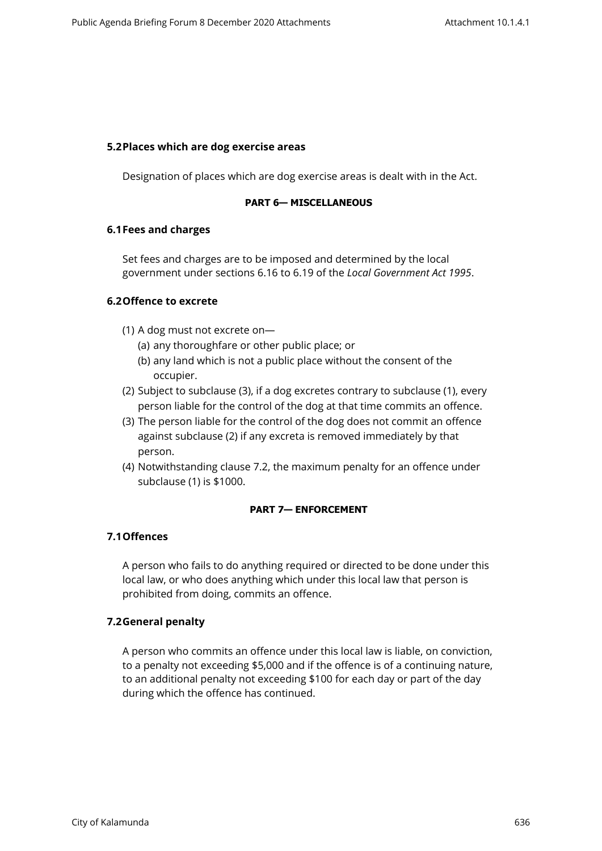#### <span id="page-14-0"></span>**5.2Places which are dog exercise areas**

Designation of places which are dog exercise areas is dealt with in the Act.

#### <span id="page-14-1"></span>**PART 6— MISCELLANEOUS**

#### <span id="page-14-2"></span>**6.1Fees and charges**

Set fees and charges are to be imposed and determined by the local government under sections 6.16 to 6.19 of the *Local Government Act 1995*.

### <span id="page-14-3"></span>**6.2Offence to excrete**

- (1) A dog must not excrete on—
	- (a) any thoroughfare or other public place; or
	- (b) any land which is not a public place without the consent of the occupier.
- (2) Subject to subclause (3), if a dog excretes contrary to subclause (1), every person liable for the control of the dog at that time commits an offence.
- (3) The person liable for the control of the dog does not commit an offence against subclause (2) if any excreta is removed immediately by that person.
- (4) Notwithstanding clause 7.2, the maximum penalty for an offence under subclause (1) is \$1000.

### <span id="page-14-4"></span>**PART 7— ENFORCEMENT**

## <span id="page-14-5"></span>**7.1Offences**

A person who fails to do anything required or directed to be done under this local law, or who does anything which under this local law that person is prohibited from doing, commits an offence.

## <span id="page-14-6"></span>**7.2General penalty**

A person who commits an offence under this local law is liable, on conviction, to a penalty not exceeding \$5,000 and if the offence is of a continuing nature, to an additional penalty not exceeding \$100 for each day or part of the day during which the offence has continued.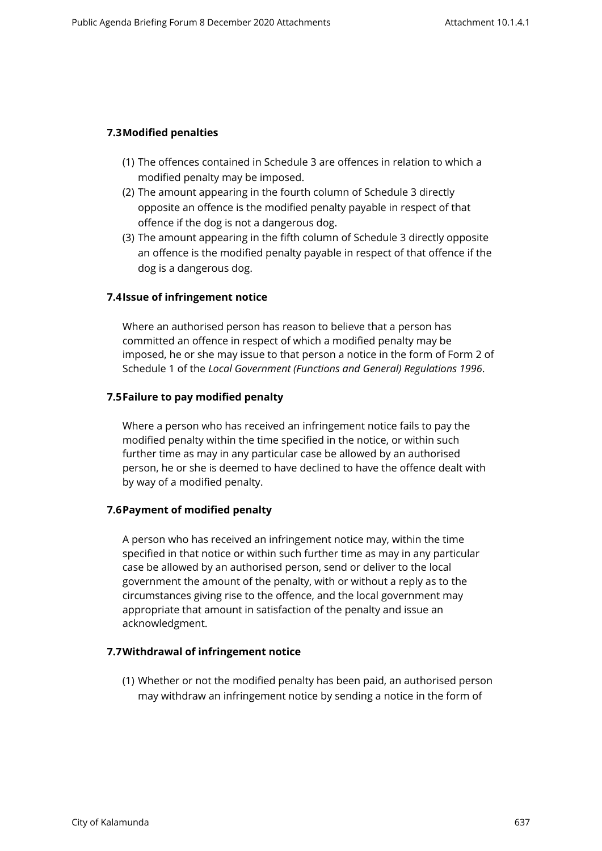### <span id="page-15-0"></span>**7.3Modified penalties**

- (1) The offences contained in Schedule 3 are offences in relation to which a modified penalty may be imposed.
- (2) The amount appearing in the fourth column of Schedule 3 directly opposite an offence is the modified penalty payable in respect of that offence if the dog is not a dangerous dog.
- (3) The amount appearing in the fifth column of Schedule 3 directly opposite an offence is the modified penalty payable in respect of that offence if the dog is a dangerous dog.

## <span id="page-15-1"></span>**7.4Issue of infringement notice**

Where an authorised person has reason to believe that a person has committed an offence in respect of which a modified penalty may be imposed, he or she may issue to that person a notice in the form of Form 2 of Schedule 1 of the *Local Government (Functions and General) Regulations 1996*.

### <span id="page-15-2"></span>**7.5Failure to pay modified penalty**

Where a person who has received an infringement notice fails to pay the modified penalty within the time specified in the notice, or within such further time as may in any particular case be allowed by an authorised person, he or she is deemed to have declined to have the offence dealt with by way of a modified penalty.

### <span id="page-15-3"></span>**7.6Payment of modified penalty**

A person who has received an infringement notice may, within the time specified in that notice or within such further time as may in any particular case be allowed by an authorised person, send or deliver to the local government the amount of the penalty, with or without a reply as to the circumstances giving rise to the offence, and the local government may appropriate that amount in satisfaction of the penalty and issue an acknowledgment.

## **7.7Withdrawal of infringement notice**

<span id="page-15-4"></span>(1) Whether or not the modified penalty has been paid, an authorised person may withdraw an infringement notice by sending a notice in the form of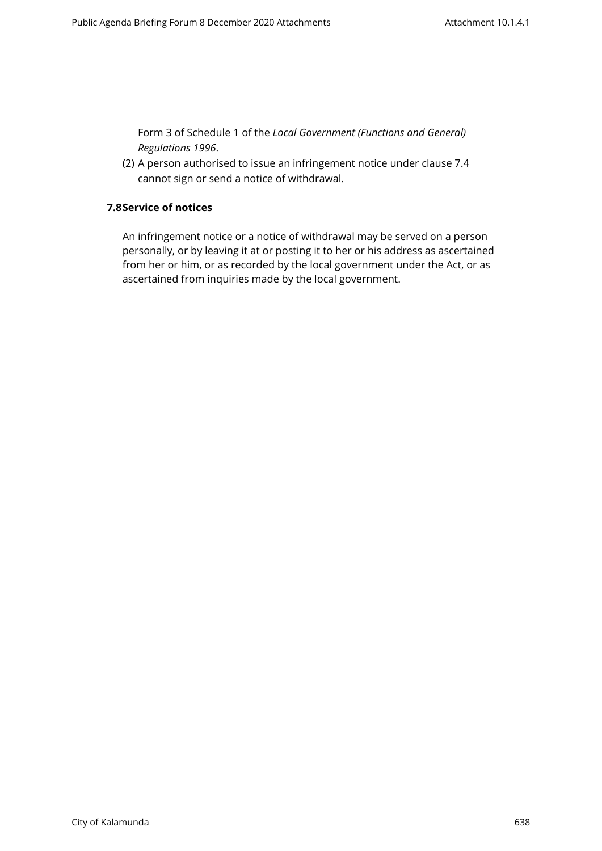Form 3 of Schedule 1 of the *Local Government (Functions and General) Regulations 1996*.

<span id="page-16-0"></span>(2) A person authorised to issue an infringement notice under clause 7.4 cannot sign or send a notice of withdrawal.

### **7.8Service of notices**

An infringement notice or a notice of withdrawal may be served on a person personally, or by leaving it at or posting it to her or his address as ascertained from her or him, or as recorded by the local government under the Act, or as ascertained from inquiries made by the local government.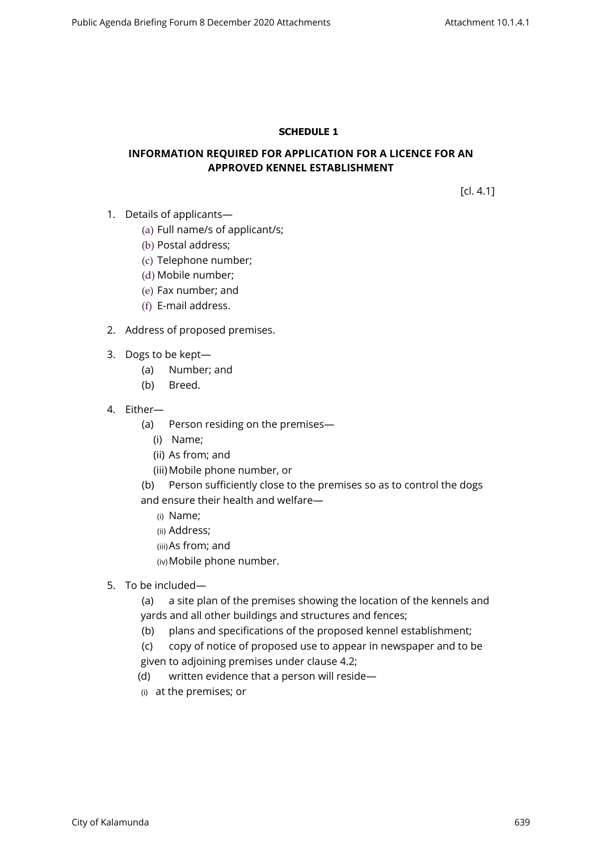### <span id="page-17-0"></span>**SCHEDULE 1**

### **INFORMATION REQUIRED FOR APPLICATION FOR A LICENCE FOR AN APPROVED KENNEL ESTABLISHMENT**

[cl. 4.1]

- 1. Details of applicants—
	- (a) Full name/s of applicant/s;
	- (b) Postal address;
	- (c) Telephone number;
	- (d) Mobile number;
	- (e) Fax number; and
	- (f) E-mail address.
- 2. Address of proposed premises.
- 3. Dogs to be kept—
	- (a) Number; and
	- (b) Breed.
- 4. Either—
	- (a) Person residing on the premises—
		- (i) Name;
		- (ii) As from; and
		- (iii) Mobile phone number, or
	- (b) Person sufficiently close to the premises so as to control the dogs and ensure their health and welfare—
		- (i) Name;
		- (ii) Address;
		- (iii)As from; and
		- (iv)Mobile phone number.
- 5. To be included—
	- (a) a site plan of the premises showing the location of the kennels and yards and all other buildings and structures and fences;
	- (b) plans and specifications of the proposed kennel establishment;
	- (c) copy of notice of proposed use to appear in newspaper and to be given to adjoining premises under clause 4.2;
	- (d) written evidence that a person will reside—
	- (i) at the premises; or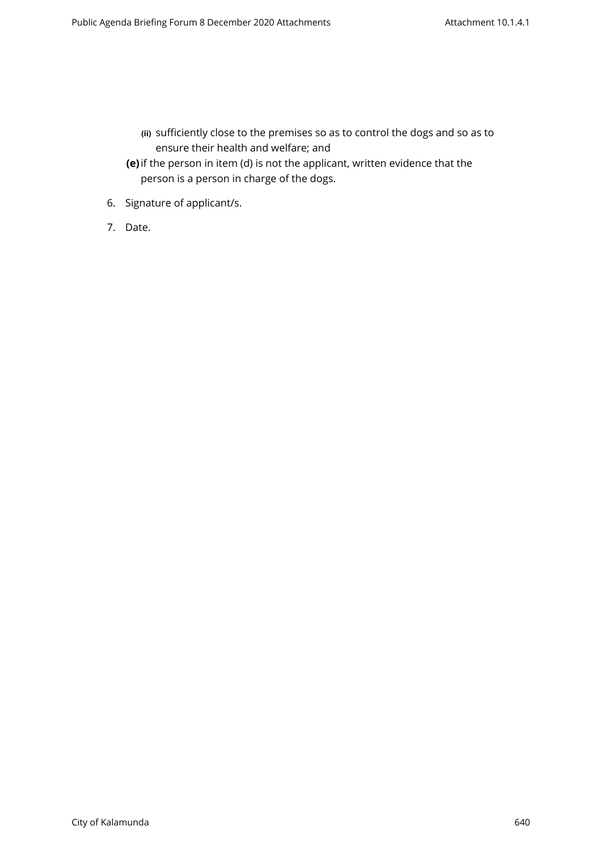- **(ii)** sufficiently close to the premises so as to control the dogs and so as to ensure their health and welfare; and
- **(e)**if the person in item (d) is not the applicant, written evidence that the person is a person in charge of the dogs.
- 6. Signature of applicant/s.
- 7. Date.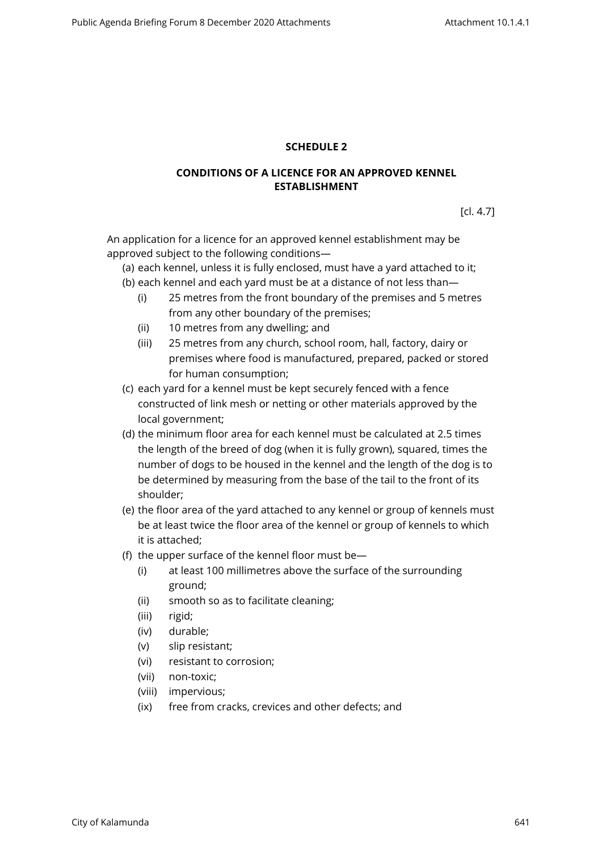### <span id="page-19-0"></span>**SCHEDULE 2**

### **CONDITIONS OF A LICENCE FOR AN APPROVED KENNEL ESTABLISHMENT**

[cl. 4.7]

An application for a licence for an approved kennel establishment may be approved subject to the following conditions—

(a) each kennel, unless it is fully enclosed, must have a yard attached to it;

- (b) each kennel and each yard must be at a distance of not less than—
	- (i) 25 metres from the front boundary of the premises and 5 metres from any other boundary of the premises;
	- (ii) 10 metres from any dwelling; and
	- (iii) 25 metres from any church, school room, hall, factory, dairy or premises where food is manufactured, prepared, packed or stored for human consumption;
- (c) each yard for a kennel must be kept securely fenced with a fence constructed of link mesh or netting or other materials approved by the local government;
- (d) the minimum floor area for each kennel must be calculated at 2.5 times the length of the breed of dog (when it is fully grown), squared, times the number of dogs to be housed in the kennel and the length of the dog is to be determined by measuring from the base of the tail to the front of its shoulder;
- (e) the floor area of the yard attached to any kennel or group of kennels must be at least twice the floor area of the kennel or group of kennels to which it is attached;
- (f) the upper surface of the kennel floor must be—
	- (i) at least 100 millimetres above the surface of the surrounding ground;
	- (ii) smooth so as to facilitate cleaning;
	- (iii) rigid;
	- (iv) durable;
	- (v) slip resistant;
	- (vi) resistant to corrosion;
	- (vii) non-toxic;
	- (viii) impervious;
	- (ix) free from cracks, crevices and other defects; and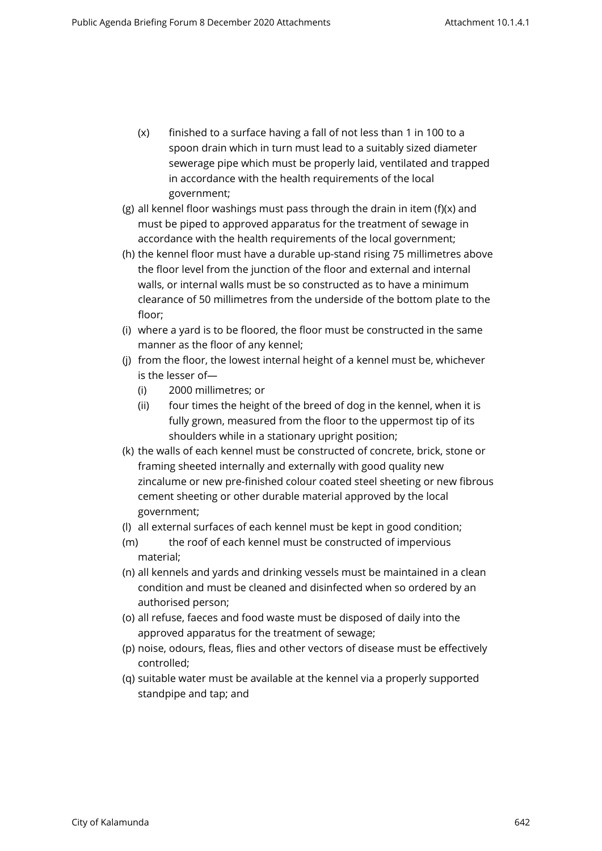- (x) finished to a surface having a fall of not less than 1 in 100 to a spoon drain which in turn must lead to a suitably sized diameter sewerage pipe which must be properly laid, ventilated and trapped in accordance with the health requirements of the local government;
- (g) all kennel floor washings must pass through the drain in item (f)(x) and must be piped to approved apparatus for the treatment of sewage in accordance with the health requirements of the local government;
- (h) the kennel floor must have a durable up-stand rising 75 millimetres above the floor level from the junction of the floor and external and internal walls, or internal walls must be so constructed as to have a minimum clearance of 50 millimetres from the underside of the bottom plate to the floor;
- (i) where a yard is to be floored, the floor must be constructed in the same manner as the floor of any kennel;
- (j) from the floor, the lowest internal height of a kennel must be, whichever is the lesser of—
	- (i) 2000 millimetres; or
	- (ii) four times the height of the breed of dog in the kennel, when it is fully grown, measured from the floor to the uppermost tip of its shoulders while in a stationary upright position;
- (k) the walls of each kennel must be constructed of concrete, brick, stone or framing sheeted internally and externally with good quality new zincalume or new pre-finished colour coated steel sheeting or new fibrous cement sheeting or other durable material approved by the local government;
- (l) all external surfaces of each kennel must be kept in good condition;
- (m) the roof of each kennel must be constructed of impervious material;
- (n) all kennels and yards and drinking vessels must be maintained in a clean condition and must be cleaned and disinfected when so ordered by an authorised person;
- (o) all refuse, faeces and food waste must be disposed of daily into the approved apparatus for the treatment of sewage;
- (p) noise, odours, fleas, flies and other vectors of disease must be effectively controlled;
- (q) suitable water must be available at the kennel via a properly supported standpipe and tap; and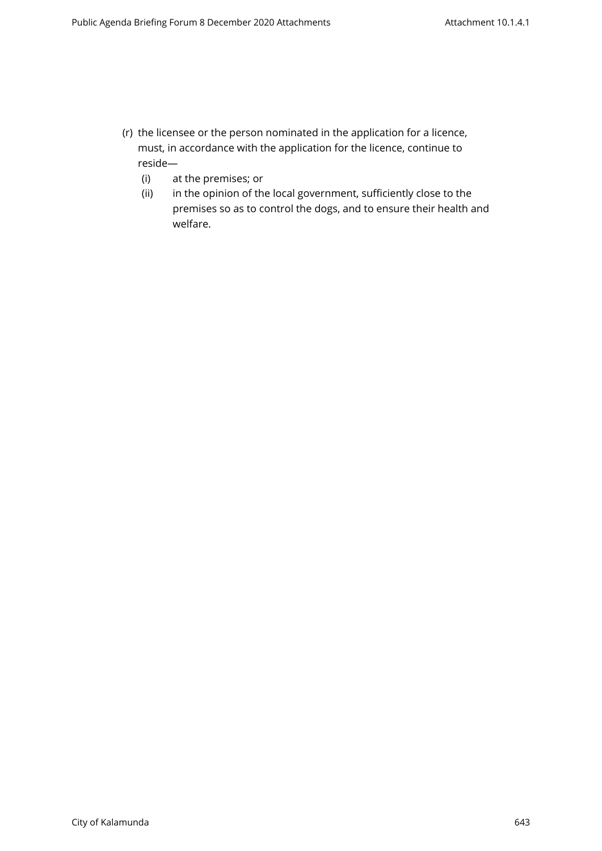- (r) the licensee or the person nominated in the application for a licence, must, in accordance with the application for the licence, continue to reside—
	- (i) at the premises; or
	- (ii) in the opinion of the local government, sufficiently close to the premises so as to control the dogs, and to ensure their health and welfare.